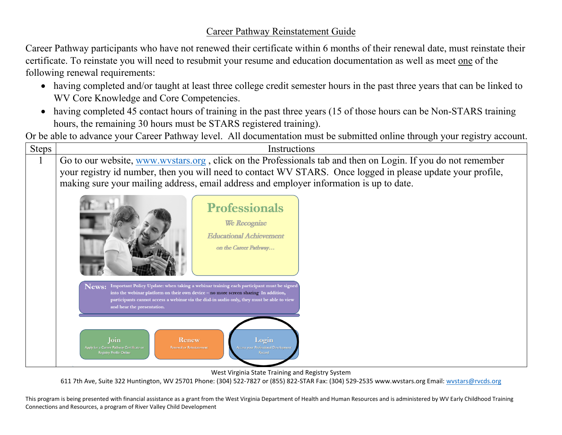## Career Pathway Reinstatement Guide

Career Pathway participants who have not renewed their certificate within 6 months of their renewal date, must reinstate their certificate. To reinstate you will need to resubmit your resume and education documentation as well as meet one of the following renewal requirements:

- having completed and/or taught at least three college credit semester hours in the past three years that can be linked to WV Core Knowledge and Core Competencies.
- having completed 45 contact hours of training in the past three years (15 of those hours can be Non-STARS training hours, the remaining 30 hours must be STARS registered training).

Or be able to advance your Career Pathway level. All documentation must be submitted online through your registry account.

| <b>Steps</b> | Instructions                                                                                                                                                                                                                                                                                                                                                                                                                                                                                                    |
|--------------|-----------------------------------------------------------------------------------------------------------------------------------------------------------------------------------------------------------------------------------------------------------------------------------------------------------------------------------------------------------------------------------------------------------------------------------------------------------------------------------------------------------------|
| $\mathbf{L}$ | Go to our website, www.wystars.org, click on the Professionals tab and then on Login. If you do not remember<br>your registry id number, then you will need to contact WV STARS. Once logged in please update your profile,<br>making sure your mailing address, email address and employer information is up to date.                                                                                                                                                                                          |
|              | <b>Professionals</b><br>We Recognize<br><b>Educational Achievement</b><br>on the Career Pathway                                                                                                                                                                                                                                                                                                                                                                                                                 |
|              | Important Policy Update: when taking a webinar training each participant must be signed<br>News:<br>into the webinar platform on their own device - no more screen sharing. In addition,<br>participants cannot access a webinar via the dial-in audio only, they must be able to view<br>and hear the presentation.<br>Login<br>Join<br>Renew<br><b>Access your Professional Development</b><br>Apply for a Career Pathway Certificate or<br><b>Renewal or Reinstatement</b><br><b>Registry Profile Online</b> |

West Virginia State Training and Registry System

611 7th Ave, Suite 322 Huntington, WV 25701 Phone: (304) 522-7827 or (855) 822-STAR Fax: (304) 529-2535 www.wvstars.org Email: [wvstars@rvcds.org](mailto:wvstars@rvcds.org)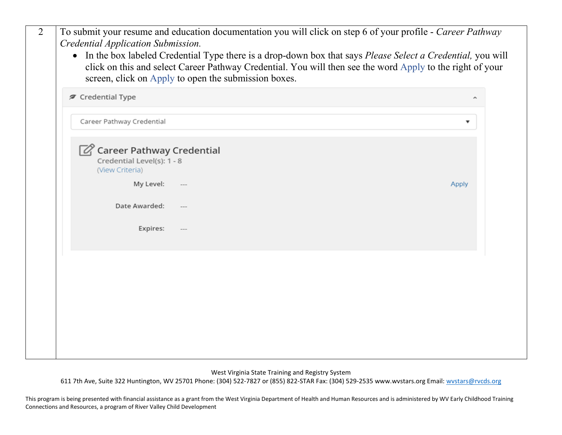| $\overline{2}$ | To submit your resume and education documentation you will click on step 6 of your profile - Career Pathway<br>Credential Application Submission.<br>In the box labeled Credential Type there is a drop-down box that says Please Select a Credential, you will<br>$\bullet$<br>click on this and select Career Pathway Credential. You will then see the word Apply to the right of your |                                                      |              |  |  |  |
|----------------|-------------------------------------------------------------------------------------------------------------------------------------------------------------------------------------------------------------------------------------------------------------------------------------------------------------------------------------------------------------------------------------------|------------------------------------------------------|--------------|--|--|--|
|                |                                                                                                                                                                                                                                                                                                                                                                                           | screen, click on Apply to open the submission boxes. |              |  |  |  |
|                | <b>∕</b> Credential Type                                                                                                                                                                                                                                                                                                                                                                  |                                                      | ۸            |  |  |  |
|                | Career Pathway Credential                                                                                                                                                                                                                                                                                                                                                                 |                                                      |              |  |  |  |
|                | $\mathbb{Z}$ Career Pathway Credential<br>Credential Level(s): 1 - 8<br>(View Criteria)                                                                                                                                                                                                                                                                                                   |                                                      |              |  |  |  |
|                | My Level:                                                                                                                                                                                                                                                                                                                                                                                 |                                                      | <b>Apply</b> |  |  |  |
|                | Date Awarded:                                                                                                                                                                                                                                                                                                                                                                             |                                                      |              |  |  |  |
|                | Expires:                                                                                                                                                                                                                                                                                                                                                                                  |                                                      |              |  |  |  |
|                |                                                                                                                                                                                                                                                                                                                                                                                           |                                                      |              |  |  |  |
|                |                                                                                                                                                                                                                                                                                                                                                                                           |                                                      |              |  |  |  |
|                |                                                                                                                                                                                                                                                                                                                                                                                           |                                                      |              |  |  |  |
|                |                                                                                                                                                                                                                                                                                                                                                                                           |                                                      |              |  |  |  |
|                |                                                                                                                                                                                                                                                                                                                                                                                           |                                                      |              |  |  |  |

West Virginia State Training and Registry System

611 7th Ave, Suite 322 Huntington, WV 25701 Phone: (304) 522-7827 or (855) 822-STAR Fax: (304) 529-2535 www.wvstars.org Email: [wvstars@rvcds.org](mailto:wvstars@rvcds.org)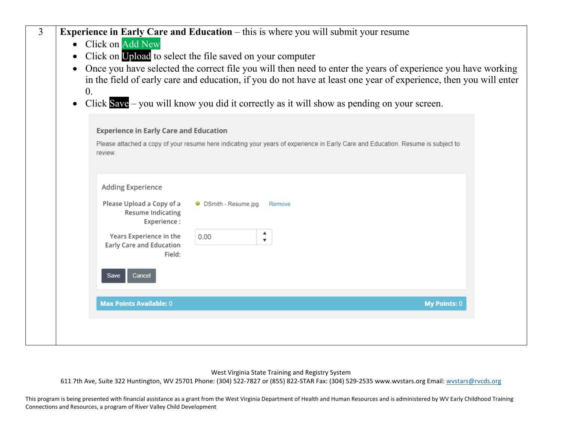| $\overline{3}$ | Experience in Early Care and Education - this is where you will submit your resume<br>• Click on Add New<br>Click on Upload to select the file saved on your computer<br>$\bullet$<br>Once you have selected the correct file you will then need to enter the years of experience you have working<br>$\bullet$<br>in the field of early care and education, if you do not have at least one year of experience, then you will enter<br>$\overline{0}$ .<br>Click $Save$ – you will know you did it correctly as it will show as pending on your screen.<br>$\bullet$ |
|----------------|-----------------------------------------------------------------------------------------------------------------------------------------------------------------------------------------------------------------------------------------------------------------------------------------------------------------------------------------------------------------------------------------------------------------------------------------------------------------------------------------------------------------------------------------------------------------------|
|                | <b>Experience in Early Care and Education</b><br>Please attached a copy of your resume here indicating your years of experience in Early Care and Education. Resume is subject to<br>review.                                                                                                                                                                                                                                                                                                                                                                          |
|                | Adding Experience<br>Please Upload a Copy of a<br>• DSmith - Resume.jpg<br>Remove<br><b>Resume Indicating</b><br>Experience:<br>Years Experience in the<br>0.00<br>$\overline{\mathbf{v}}$<br>Early Care and Education<br>Field:<br>Cancel<br>Save                                                                                                                                                                                                                                                                                                                    |
|                | <b>Max Points Available: 0</b><br><b>My Points: 0</b>                                                                                                                                                                                                                                                                                                                                                                                                                                                                                                                 |
|                |                                                                                                                                                                                                                                                                                                                                                                                                                                                                                                                                                                       |

West Virginia State Training and Registry System

611 7th Ave, Suite 322 Huntington, WV 25701 Phone: (304) 522-7827 or (855) 822-STAR Fax: (304) 529-2535 www.wvstars.org Email: [wvstars@rvcds.org](mailto:wvstars@rvcds.org)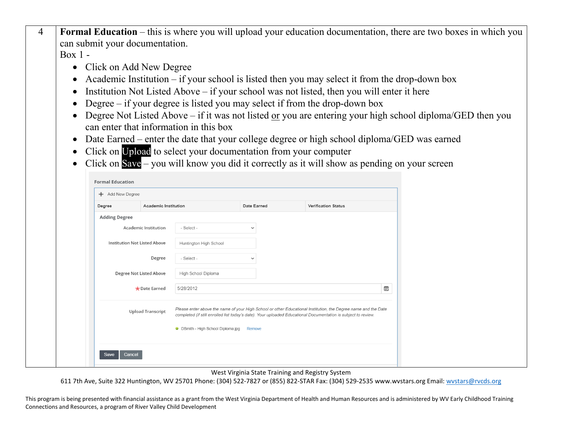4 **Formal Education** – this is where you will upload your education documentation, there are two boxes in which you can submit your documentation.

Box 1 -

- Click on Add New Degree
- Academic Institution if your school is listed then you may select it from the drop-down box
- Institution Not Listed Above if your school was not listed, then you will enter it here
- Degree if your degree is listed you may select if from the drop-down box
- Degree Not Listed Above if it was not listed or you are entering your high school diploma/GED then you can enter that information in this box
- Date Earned enter the date that your college degree or high school diploma/GED was earned
- Click on Upload to select your documentation from your computer
- Click on Save you will know you did it correctly as it will show as pending on your screen

| + Add New Degree                    |                          |                                        |              |  |                                                                                                                                                                                                                                  |   |
|-------------------------------------|--------------------------|----------------------------------------|--------------|--|----------------------------------------------------------------------------------------------------------------------------------------------------------------------------------------------------------------------------------|---|
| Degree                              | Academic Institution     |                                        | Date Earned  |  | <b>Verification Status</b>                                                                                                                                                                                                       |   |
| <b>Adding Degree</b>                |                          |                                        |              |  |                                                                                                                                                                                                                                  |   |
| Academic Institution                |                          | - Select -                             | $\checkmark$ |  |                                                                                                                                                                                                                                  |   |
| <b>Institution Not Listed Above</b> |                          | Huntington High School                 |              |  |                                                                                                                                                                                                                                  |   |
|                                     | Degree                   | - Select -                             | $\checkmark$ |  |                                                                                                                                                                                                                                  |   |
| Degree Not Listed Above             |                          | High School Diploma                    |              |  |                                                                                                                                                                                                                                  |   |
|                                     | * Date Earned            | 5/28/2012                              |              |  |                                                                                                                                                                                                                                  | Ë |
|                                     | <b>Upload Transcript</b> | Smith - High School Diploma.jpg Remove |              |  | Please enter above the name of your High School or other Educational Institution, the Degree name and the Date<br>completed (if still enrolled list today's date). Your uploaded Educational Documentation is subject to review. |   |

West Virginia State Training and Registry System

611 7th Ave, Suite 322 Huntington, WV 25701 Phone: (304) 522-7827 or (855) 822-STAR Fax: (304) 529-2535 www.wvstars.org Email: [wvstars@rvcds.org](mailto:wvstars@rvcds.org)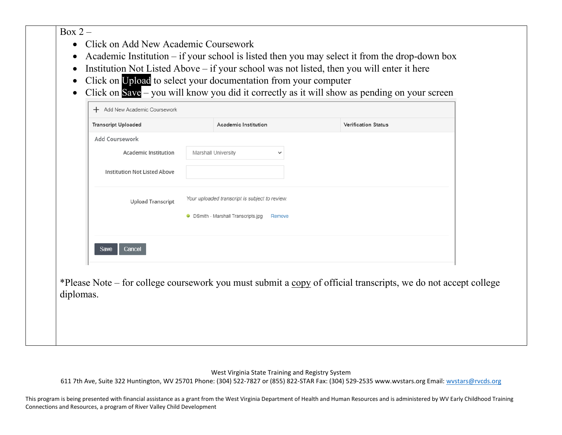$Box 2 -$ 

- Click on Add New Academic Coursework
- Academic Institution if your school is listed then you may select it from the drop-down box
- Institution Not Listed Above if your school was not listed, then you will enter it here
- Click on Upload to select your documentation from your computer
- Click on Save you will know you did it correctly as it will show as pending on your screen

| Add Coursework                      |                                                |  |
|-------------------------------------|------------------------------------------------|--|
| <b>Academic Institution</b>         | Marshall University<br>$\checkmark$            |  |
| <b>Institution Not Listed Above</b> |                                                |  |
| <b>Upload Transcript</b>            | Your uploaded transcript is subject to review. |  |
|                                     | • DSmith - Marshall Transcripts.jpg<br>Remove  |  |
|                                     |                                                |  |

\*Please Note – for college coursework you must submit a copy of official transcripts, we do not accept college diplomas.

West Virginia State Training and Registry System

611 7th Ave, Suite 322 Huntington, WV 25701 Phone: (304) 522-7827 or (855) 822-STAR Fax: (304) 529-2535 www.wvstars.org Email: [wvstars@rvcds.org](mailto:wvstars@rvcds.org)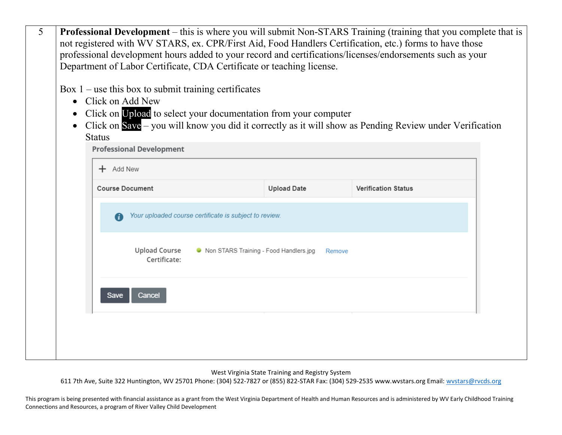| professional development hours added to your record and certifications/licenses/endorsements such as your<br>Department of Labor Certificate, CDA Certificate or teaching license.<br>Box $1$ – use this box to submit training certificates<br>Click on Upload to select your documentation from your computer<br>Click on Save - you will know you did it correctly as it will show as Pending Review under Verification<br><b>Professional Development</b> |  |
|---------------------------------------------------------------------------------------------------------------------------------------------------------------------------------------------------------------------------------------------------------------------------------------------------------------------------------------------------------------------------------------------------------------------------------------------------------------|--|
|                                                                                                                                                                                                                                                                                                                                                                                                                                                               |  |
|                                                                                                                                                                                                                                                                                                                                                                                                                                                               |  |
|                                                                                                                                                                                                                                                                                                                                                                                                                                                               |  |
|                                                                                                                                                                                                                                                                                                                                                                                                                                                               |  |
|                                                                                                                                                                                                                                                                                                                                                                                                                                                               |  |
|                                                                                                                                                                                                                                                                                                                                                                                                                                                               |  |
|                                                                                                                                                                                                                                                                                                                                                                                                                                                               |  |
|                                                                                                                                                                                                                                                                                                                                                                                                                                                               |  |
|                                                                                                                                                                                                                                                                                                                                                                                                                                                               |  |
| <b>Upload Date</b><br><b>Verification Status</b>                                                                                                                                                                                                                                                                                                                                                                                                              |  |
| Your uploaded course certificate is subject to review.                                                                                                                                                                                                                                                                                                                                                                                                        |  |
| <b>Upload Course</b><br>● Non STARS Training - Food Handlers.jpg<br>Remove<br>Certificate:                                                                                                                                                                                                                                                                                                                                                                    |  |
|                                                                                                                                                                                                                                                                                                                                                                                                                                                               |  |
|                                                                                                                                                                                                                                                                                                                                                                                                                                                               |  |
|                                                                                                                                                                                                                                                                                                                                                                                                                                                               |  |
|                                                                                                                                                                                                                                                                                                                                                                                                                                                               |  |
|                                                                                                                                                                                                                                                                                                                                                                                                                                                               |  |

West Virginia State Training and Registry System

611 7th Ave, Suite 322 Huntington, WV 25701 Phone: (304) 522-7827 or (855) 822-STAR Fax: (304) 529-2535 www.wvstars.org Email: [wvstars@rvcds.org](mailto:wvstars@rvcds.org)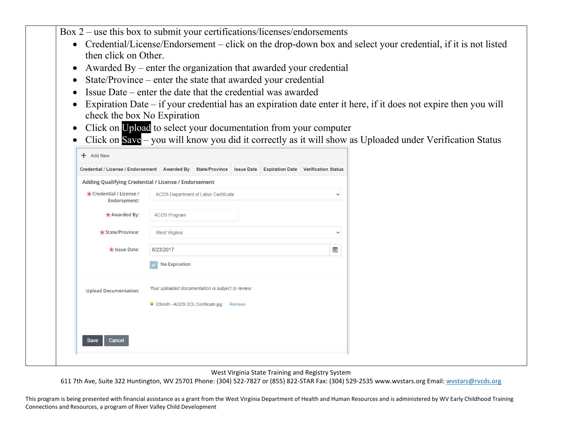Box 2 – use this box to submit your certifications/licenses/endorsements

- Credential/License/Endorsement click on the drop-down box and select your credential, if it is not listed then click on Other.
- Awarded By enter the organization that awarded your credential
- State/Province enter the state that awarded your credential
- $\bullet$  Issue Date enter the date that the credential was awarded
- Expiration Date if your credential has an expiration date enter it here, if it does not expire then you will check the box No Expiration
- Click on Upload to select your documentation from your computer
- Click on Save you will know you did it correctly as it will show as Uploaded under Verification Status

| Credential / License / Endorsement   Awarded By   State/Province |                               |                                                      |                                                   | <b>Issue Date</b> |  | <b>Expiration Date</b> Verification Status |  |  |  |
|------------------------------------------------------------------|-------------------------------|------------------------------------------------------|---------------------------------------------------|-------------------|--|--------------------------------------------|--|--|--|
| Adding Qualifying Credential / License / Endorsement             |                               |                                                      |                                                   |                   |  |                                            |  |  |  |
| * Credential / License /<br>Endorsement:                         |                               | ACDS Department of Labor Certificate<br>$\checkmark$ |                                                   |                   |  |                                            |  |  |  |
| * Awarded By:                                                    |                               | <b>ACDS Program</b>                                  |                                                   |                   |  |                                            |  |  |  |
| $\star$ State/Province:                                          | West Virginia<br>$\checkmark$ |                                                      |                                                   |                   |  |                                            |  |  |  |
| * Issue Date:                                                    |                               | 6/23/2017                                            |                                                   |                   |  | Ë                                          |  |  |  |
|                                                                  |                               | No Expiration                                        |                                                   |                   |  |                                            |  |  |  |
| <b>Upload Documentation:</b>                                     |                               |                                                      | Your uploaded documentation is subject to review. |                   |  |                                            |  |  |  |
|                                                                  |                               |                                                      | • DSmith - ACDS DOL Certificate.jpg               | Remove            |  |                                            |  |  |  |
|                                                                  |                               |                                                      |                                                   |                   |  |                                            |  |  |  |
| Cancel<br>Save                                                   |                               |                                                      |                                                   |                   |  |                                            |  |  |  |

West Virginia State Training and Registry System

611 7th Ave, Suite 322 Huntington, WV 25701 Phone: (304) 522-7827 or (855) 822-STAR Fax: (304) 529-2535 www.wvstars.org Email: [wvstars@rvcds.org](mailto:wvstars@rvcds.org)